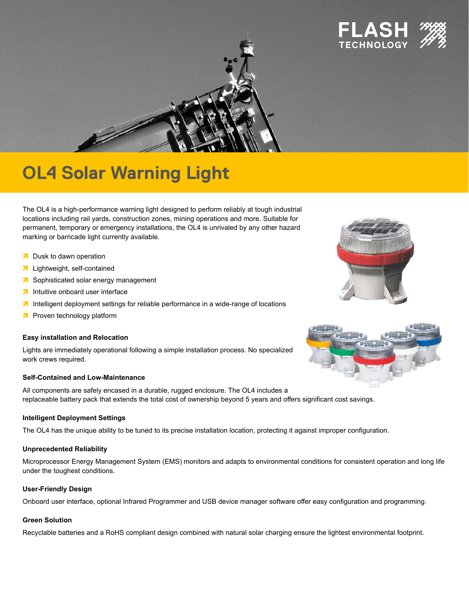



# **OL4 Solar Warning Light**

The OL4 is a high-performance warning light designed to perform reliably at tough industrial locations including rail yards, construction zones, mining operations and more. Suitable for permanent, temporary or emergency installations, the OL4 is unrivaled by any other hazard marking or barricade light currently available.

- **<sup>7</sup>** Dusk to dawn operation
- **7** Lightweight, self-contained
- **a** Sophisticated solar energy management
- **intuitive onboard user interface**
- **<sup>1</sup>** Intelligent deployment settings for reliable performance in a wide-range of locations
- **<sup>7</sup>** Proven technology platform

#### **Easy installation and Relocation**

Lights are immediately operational following a simple installation process. No specialized work crews required.

#### **Self-Contained and Low-Maintenance**

All components are safely encased in a durable, rugged enclosure. The OL4 includes a replaceable battery pack that extends the total cost of ownership beyond 5 years and offers significant cost savings.

#### **Intelligent Deployment Settings**

The OL4 has the unique ability to be tuned to its precise installation location, protecting it against improper configuration.

#### **Unprecedented Reliability**

Microprocessor Energy Management System (EMS) monitors and adapts to environmental conditions for consistent operation and long life under the toughest conditions.

#### **User-Friendly Design**

Onboard user interface, optional Infrared Programmer and USB device manager software offer easy configuration and programming.

#### **Green Solution**

Recyclable batteries and a RoHS compliant design combined with natural solar charging ensure the lightest environmental footprint.